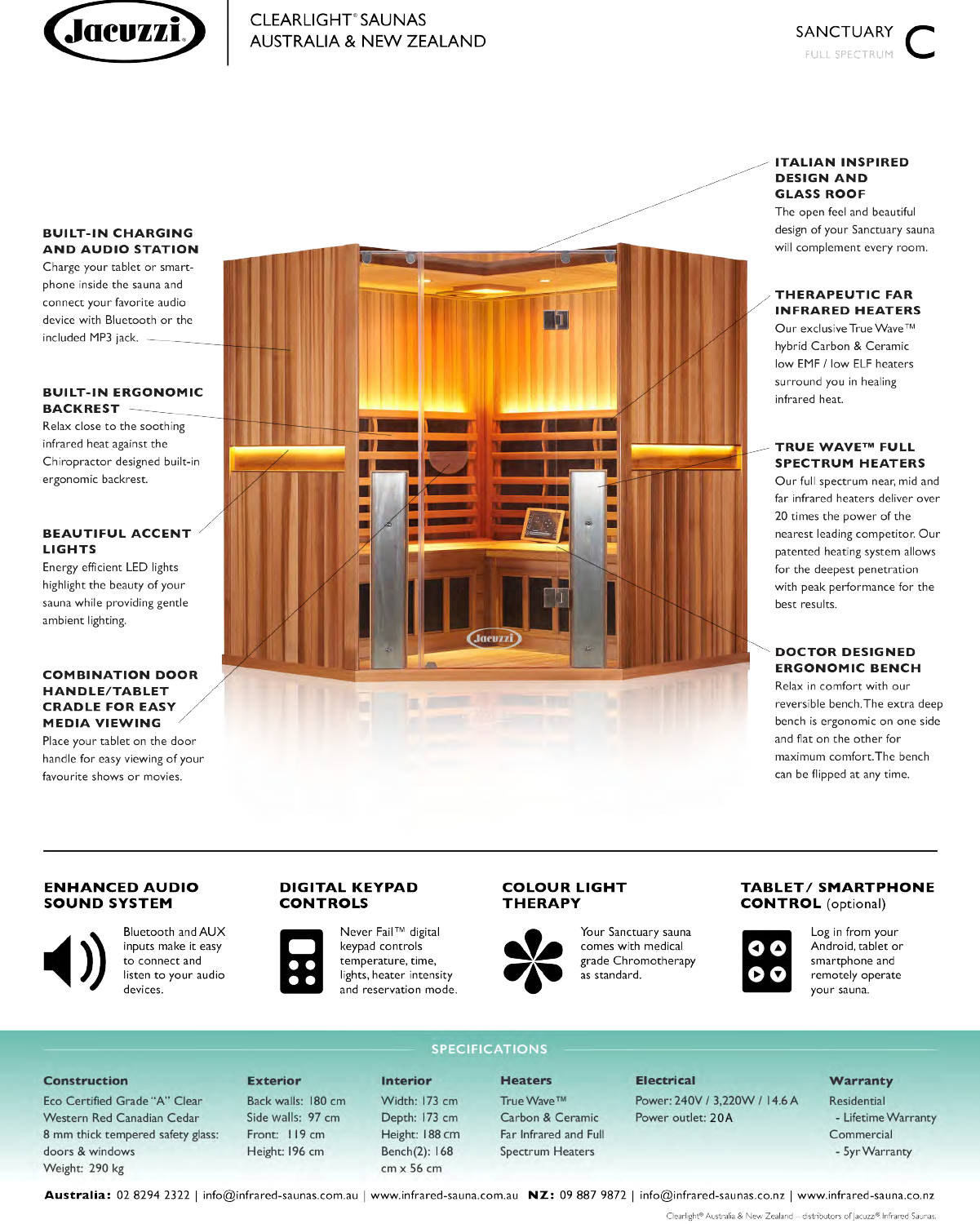



#### **BUILT-IN CHARGING AND AUDIO STATION**

Charge your tablet or smartphone inside the sauna and connect your favorite audio device with Bluetooth or the included MP3 jack.

#### **BUILT-IN ERGONOMIC BACKREST**

Relax close to the soothing infrared heat against the Chiropractor designed built-in ergonomic backrest.

#### **BEAUTIFUL ACCENT LIGHTS**

Energy efficient LED lights highlight the beauty of your sauna while providing gentle ambient lighting.

#### **COMBINATION DOOR HANDLE/TABLET CRADLE FOR EASY MEDIA VIEWING**

Place your tablet on the door handle for easy viewing of your favourite shows or movies.



#### **ITALIAN INSPIRED DESIGN AND GLASS ROOF**

The open feel and beautiful design of your Sanctuary sauna will complement every room.

#### **THERAPEUTIC FAR INFRARED HEATERS**

Our exclusive True Wave™ hybrid Carbon & Ceramic low EMF / low ELF heaters surround you in healing infrared heat.

### **TRUE WAVE™ FULL SPECTRUM HEATERS**

Our full spectrum near, mid and far infrared heaters deliver over 20 times the power of the nearest leading competitor. Our patented heating system allows for the deepest penetration with peak performance for the best results.

### **DOCTOR DESIGNED ERGONOMIC BENCH**

Relax in comfort with our reversible bench. The extra deep bench is ergonomic on one side and flat on the other for maximum comfort. The bench can be flipped at any time.

### **ENHANCED AUDIO SOUND SYSTEM**



**Bluetooth and AUX** inputs make it easy to connect and listen to your audio devices.

## **DIGITAL KEYPAD CONTROLS**



**Interior** 

Width: 173 cm

Depth: 173 cm

Height: 188 cm

Bench(2): 168

 $cm \times 56$  cm

## **COLOUR LIGHT THERAPY**



Your Sanctuary sauna comes with medical grade Chromotherapy as standard.

## **TABLET/ SMARTPHONE CONTROL** (optional)



Log in from your Android, tablet or smartphone and remotely operate your sauna.

#### **Construction**

Eco Certified Grade "A" Clear Western Red Canadian Cedar 8 mm thick tempered safety glass: doors & windows Weight: 290 kg

## **Exterior**

Back walls: 180 cm Side walls: 97 cm Front: 119 cm Height: 196 cm

# **SPECIFICATIONS**

**Heaters** True Wave™ Carbon & Ceramic Far Infrared and Full **Spectrum Heaters** 

#### **Electrical**

Power: 240V / 3,220W / 14.6 A Power outlet: 20A

## Warranty

Residential - Lifetime Warranty Commercial - 5yr Warranty

Australia: 02 8294 2322 | info@infrared-saunas.com.au | www.infrared-sauna.com.au NZ: 09 887 9872 | info@infrared-saunas.co.nz | www.infrared-sauna.co.nz

Clearlight® Australia & New Zealand - distributors of Jacuzzi® Infrared Saunas.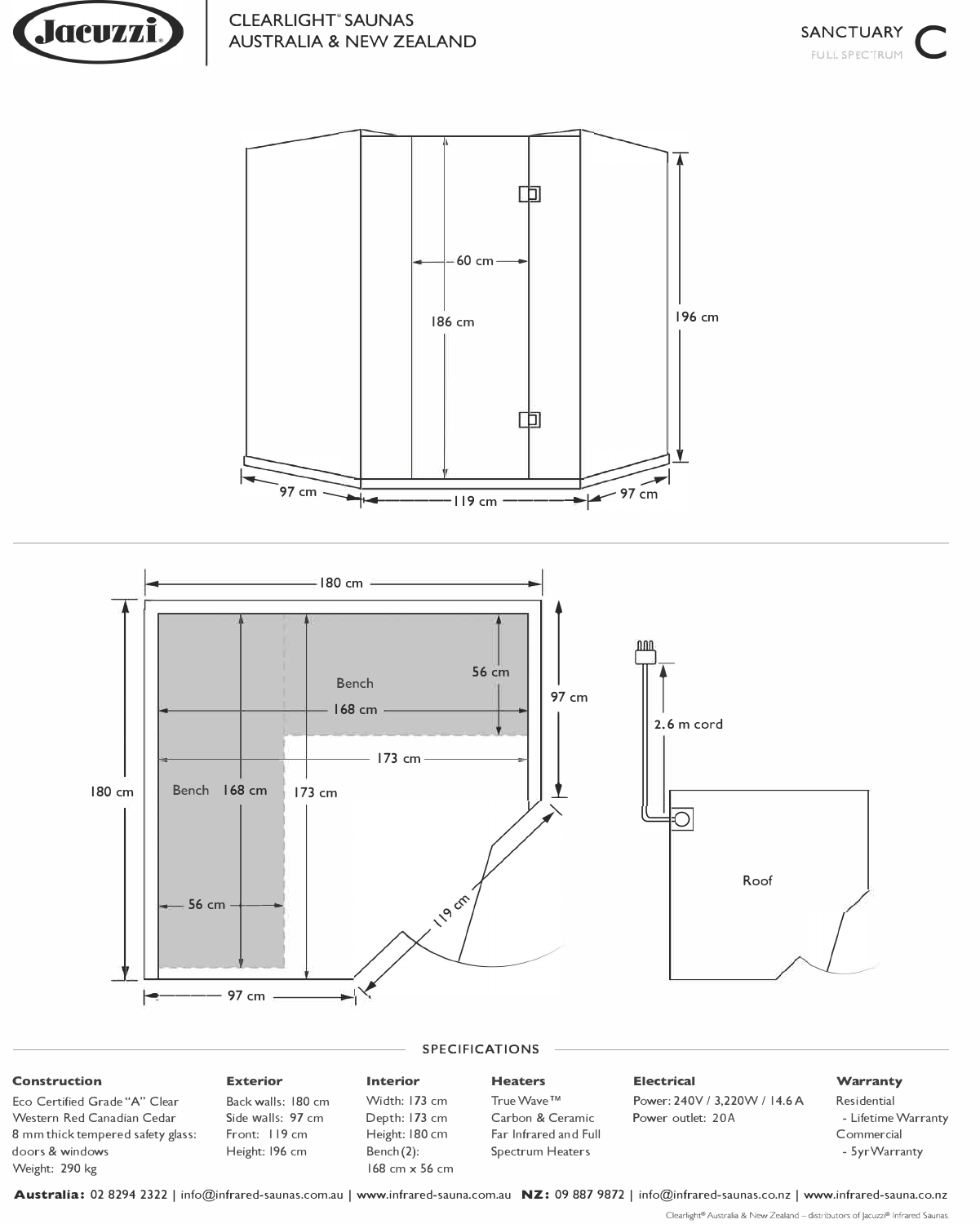





#### **Construction Exterior**

Eco Certified Grade "A" Clear Back walls: 180 cm Western Red Canadian Cedar Side walls: 97 cm 8 mm thick tempered safety glass: Front: 119 cm doors & windows Height: 196 cm Weight: 290 kg

#### SPECIFICATIONS **Interior Heaters**

Width: 173 cm Depth: 173 cm Height: 180 cm Bench(2):

168 cm x 56 cm True Wave **TM**  Carbon & Ceramic Far Infrared and Full Spectrum Heaters

#### **Electrical**

Power: 240V / 3,220W / 14.6 A Power outlet: 20A

#### **Warranty**

Residential - Lifetime Warranty **Commercial** - SyrWarranty

**Australia:** 02 8294 2322 I info@infrared-saunas.com.au I www.infrared-sauna.com.au **NZ:** 09 887 9872 I info@infrared-saunas.co.nz I www.infrared-sauna.co.nz

Clearlight® Australia & New Zealand - distributors of Jacuzzi® Infrared Saunas.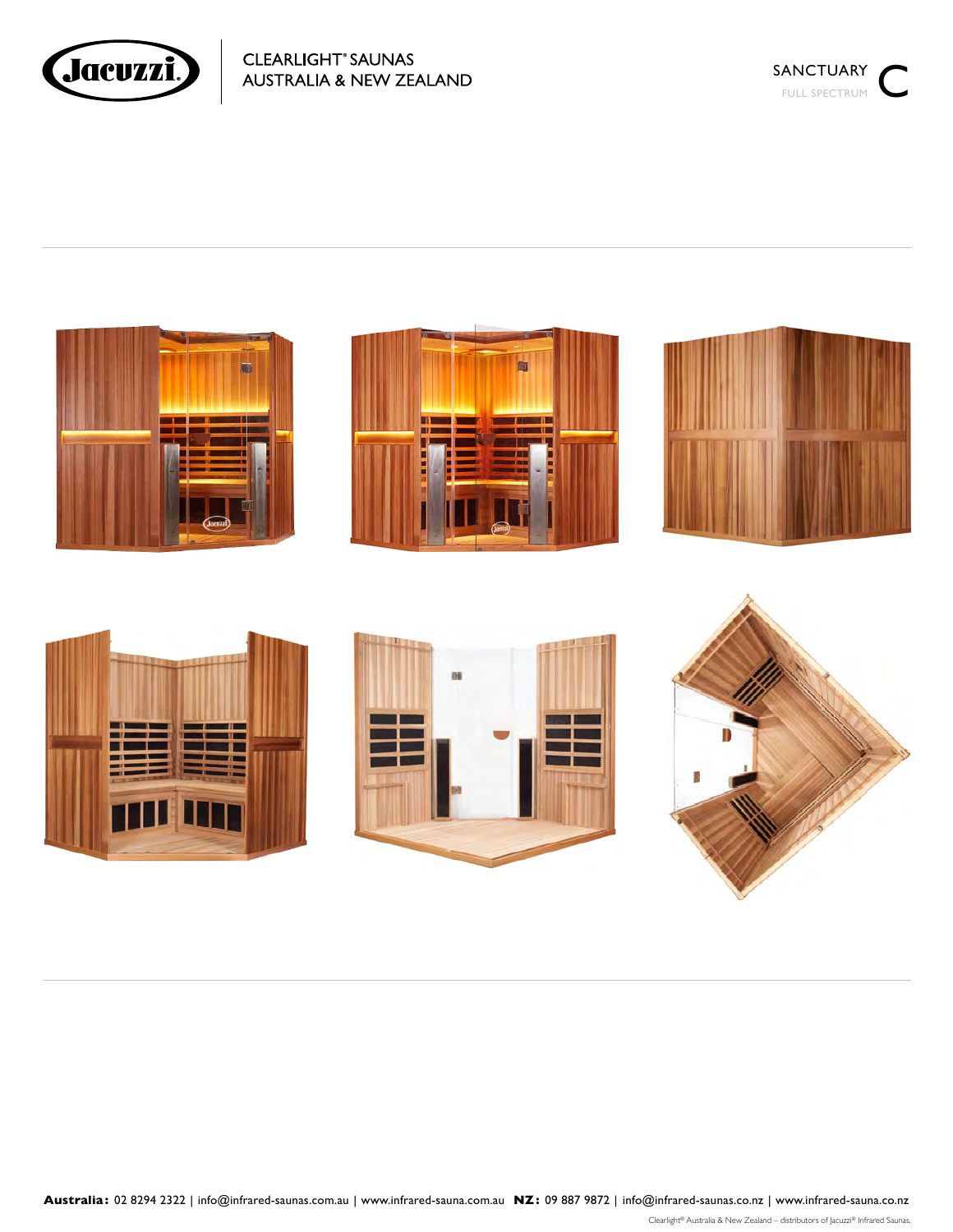





Clearlight® Australia & New Zealand – distributors of Jacuzzi® Infrared Saunas.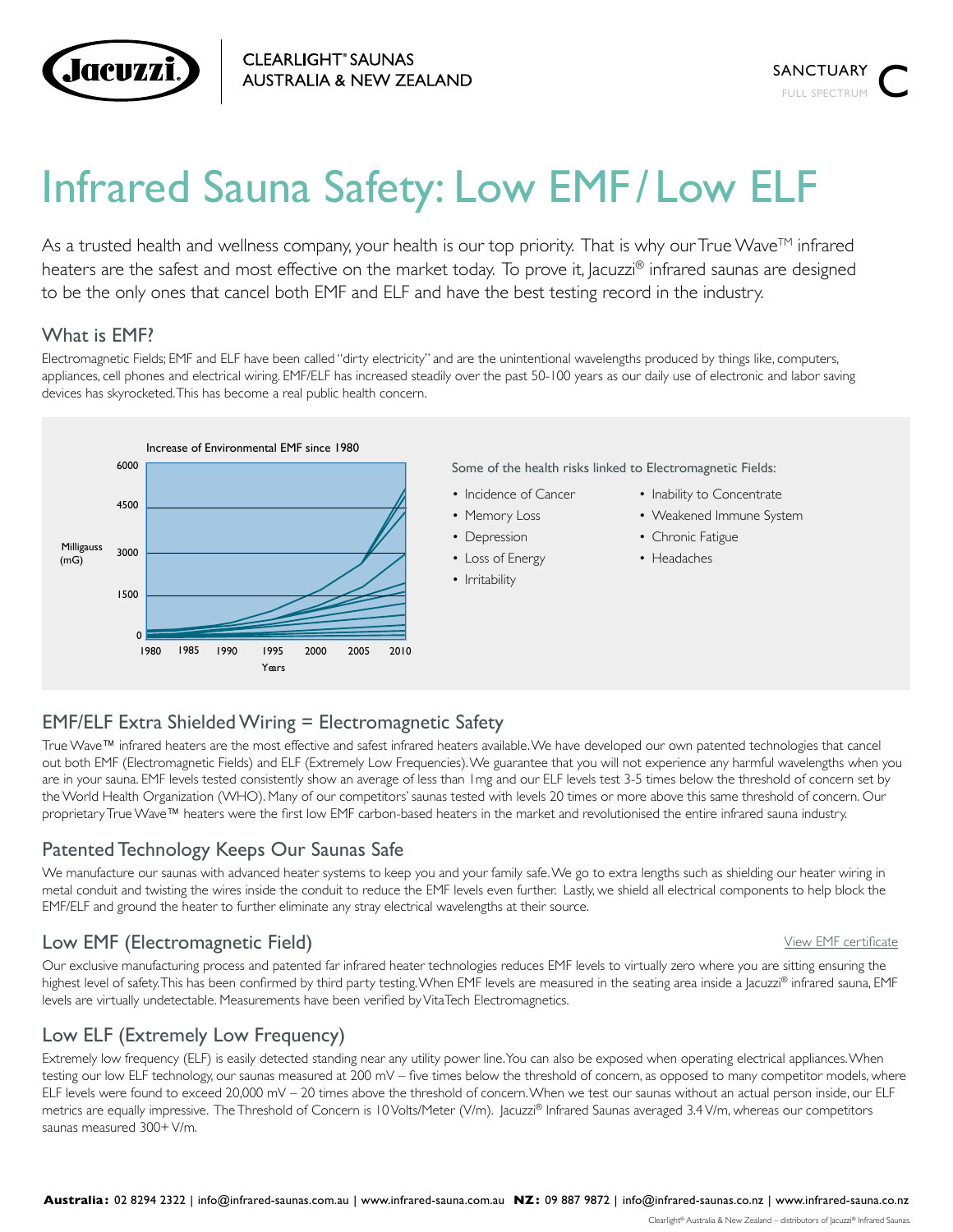

# Infrared Sauna Safety: Low EMF / Low ELF

As a trusted health and wellness company, your health is our top priority. That is why our True Wave<sup>TM</sup> infrared heaters are the safest and most effective on the market today. To prove it, acuzzi® infrared saunas are designed to be the only ones that cancel both EMF and ELF and have the best testing record in the industry.

## What is EMF?

Electromagnetic Fields; EMF and ELF have been called "dirty electricity" and are the unintentional wavelengths produced by things like, computers, appliances, cell phones and electrical wiring. EMF/ELF has increased steadily over the past 50-100 years as our daily use of electronic and labor saving devices has skyrocketed. This has become a real public health concern.



Some of the health risks linked to Electromagnetic Fields:

- Inability to Concentrate
- Weakened Immune System
- Chronic Fatigue
- Headaches

# EMF/ELF Extra Shielded Wiring = Electromagnetic Safety

True Wave™ infrared heaters are the most effective and safest infrared heaters available. We have developed our own patented technologies that cancel out both EMF (Electromagnetic Fields) and ELF (Extremely Low Frequencies). We guarantee that you will not experience any harmful wavelengths when you are in your sauna. EMF levels tested consistently show an average of less than 1mg and our ELF levels test 3-5 times below the threshold of concern set by the World Health Organization (WHO). Many of our competitors' saunas tested with levels 20 times or more above this same threshold of concern. Our proprietary True Wave™ heaters were the first low EMF carbon-based heaters in the market and revolutionised the entire infrared sauna industry.

# Patented Technology Keeps Our Saunas Safe

We manufacture our saunas with advanced heater systems to keep you and your family safe. We go to extra lengths such as shielding our heater wiring in metal conduit and twisting the wires inside the conduit to reduce the EMF levels even further. Lastly, we shield all electrical components to help block the EMF/ELF and ground the heater to further eliminate any stray electrical wavelengths at their source.

# Low EMF (Electromagnetic Field)

Our exclusive manufacturing process and patented far infrared heater technologies reduces EMF levels to virtually zero where you are sitting ensuring the highest level of safety. This has been confirmed by third party testing. When EMF levels are measured in the seating area inside a Jacuzzi® infrared sauna, EMF levels are virtually undetectable. Measurements have been verified by VitaTech Electromagnetics.

# Low ELF (Extremely Low Frequency)

Extremely low frequency (ELF) is easily detected standing near any utility power line. You can also be exposed when operating electrical appliances. When testing our low ELF technology, our saunas measured at 200 mV – five times below the threshold of concern, as opposed to many competitor models, where ELF levels were found to exceed 20,000 mV – 20 times above the threshold of concern. When we test our saunas without an actual person inside, our ELF metrics are equally impressive. The Threshold of Concern is 10 Volts/Meter (V/m). Jacuzzi® Infrared Saunas averaged 3.4 V/m, whereas our competitors saunas measured 300+ V/m.

#### View EMF [certificate](https://drive.google.com/file/d/0Bw_4FL5ASR_KM3hiS3VVTURLNkU/view)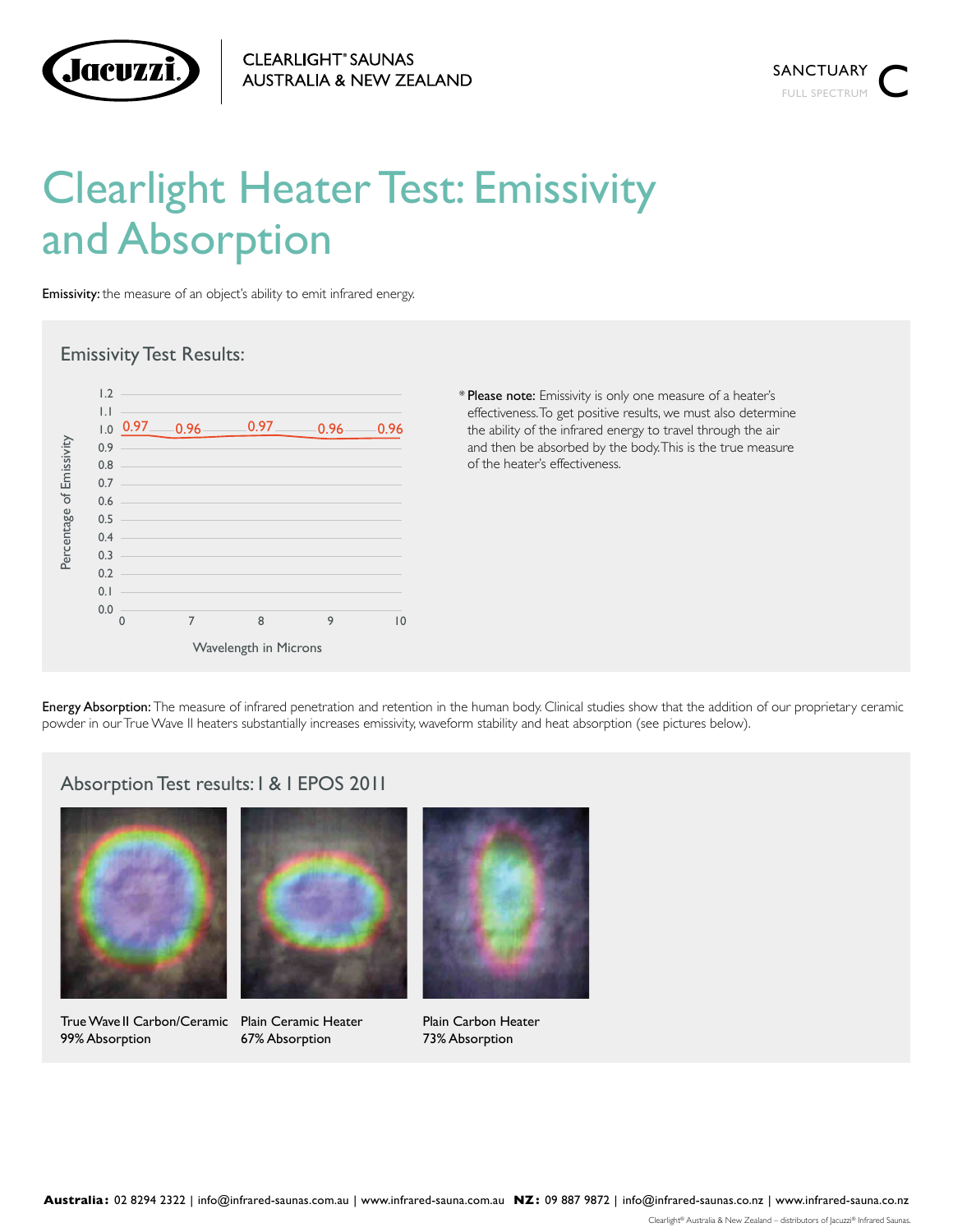

# Clearlight Heater Test: Emissivity and Absorption

Emissivity: the measure of an object's ability to emit infrared energy.



## Emissivity Test Results:

\* Please note: Emissivity is only one measure of a heater's effectiveness. To get positive results, we must also determine the ability of the infrared energy to travel through the air and then be absorbed by the body. This is the true measure of the heater's effectiveness.

Energy Absorption: The measure of infrared penetration and retention in the human body. Clinical studies show that the addition of our proprietary ceramic powder in our True Wave II heaters substantially increases emissivity, waveform stability and heat absorption (see pictures below).

# Absorption Test results: I & I EPOS 2011



True Wave II Carbon/Ceramic Plain Ceramic Heater 99% Absorption



67% Absorption



Plain Carbon Heater 73% Absorption